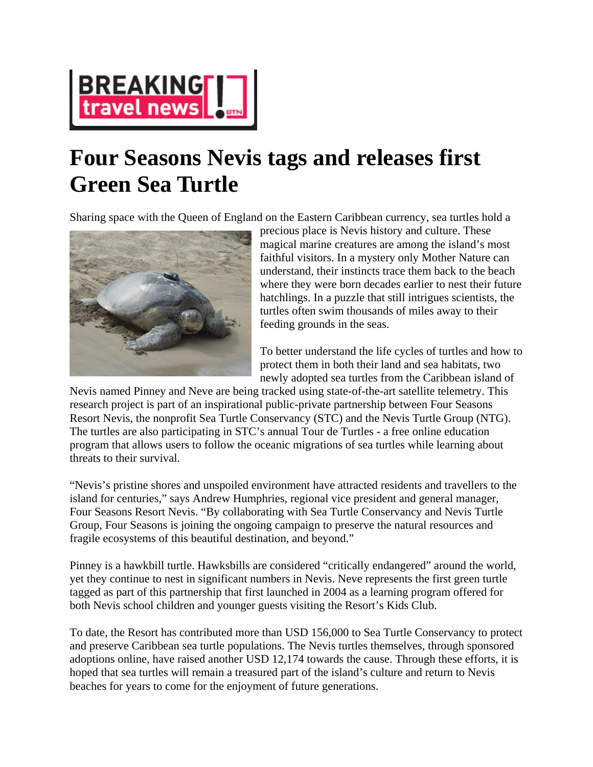

## **Four Seasons Nevis tags and releases first Green Sea Turtle**

Sharing space with the Queen of England on the Eastern Caribbean currency, sea turtles hold a



precious place is Nevis history and culture. These magical marine creatures are among the island's most faithful visitors. In a mystery only Mother Nature can understand, their instincts trace them back to the beach where they were born decades earlier to nest their future hatchlings. In a puzzle that still intrigues scientists, the turtles often swim thousands of miles away to their feeding grounds in the seas.

To better understand the life cycles of turtles and how to protect them in both their land and sea habitats, two newly adopted sea turtles from the Caribbean island of

Nevis named Pinney and Neve are being tracked using state-of-the-art satellite telemetry. This research project is part of an inspirational public-private partnership between Four Seasons Resort Nevis, the nonprofit Sea Turtle Conservancy (STC) and the Nevis Turtle Group (NTG). The turtles are also participating in STC's annual Tour de Turtles - a free online education program that allows users to follow the oceanic migrations of sea turtles while learning about threats to their survival.

"Nevis's pristine shores and unspoiled environment have attracted residents and travellers to the island for centuries," says Andrew Humphries, regional vice president and general manager, Four Seasons Resort Nevis. "By collaborating with Sea Turtle Conservancy and Nevis Turtle Group, Four Seasons is joining the ongoing campaign to preserve the natural resources and fragile ecosystems of this beautiful destination, and beyond."

Pinney is a hawkbill turtle. Hawksbills are considered "critically endangered" around the world, yet they continue to nest in significant numbers in Nevis. Neve represents the first green turtle tagged as part of this partnership that first launched in 2004 as a learning program offered for both Nevis school children and younger guests visiting the Resort's Kids Club.

To date, the Resort has contributed more than USD 156,000 to Sea Turtle Conservancy to protect and preserve Caribbean sea turtle populations. The Nevis turtles themselves, through sponsored adoptions online, have raised another USD 12,174 towards the cause. Through these efforts, it is hoped that sea turtles will remain a treasured part of the island's culture and return to Nevis beaches for years to come for the enjoyment of future generations.